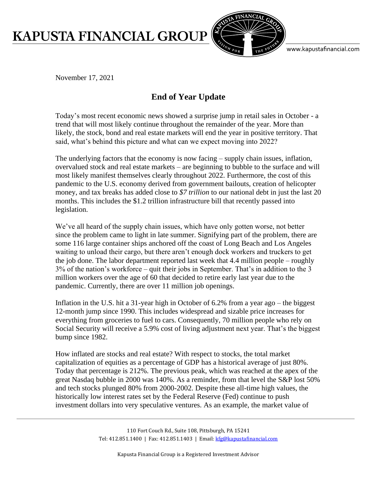## **KAPUSTA FINANCIAL GROUP**



www.kapustafinancial.com

November 17, 2021

## **End of Year Update**

Today's most recent economic news showed a surprise jump in retail sales in October - a trend that will most likely continue throughout the remainder of the year. More than likely, the stock, bond and real estate markets will end the year in positive territory. That said, what's behind this picture and what can we expect moving into 2022?

The underlying factors that the economy is now facing – supply chain issues, inflation, overvalued stock and real estate markets – are beginning to bubble to the surface and will most likely manifest themselves clearly throughout 2022. Furthermore, the cost of this pandemic to the U.S. economy derived from government bailouts, creation of helicopter money, and tax breaks has added close to *\$7 trillion* to our national debt in just the last 20 months. This includes the \$1.2 trillion infrastructure bill that recently passed into legislation.

We've all heard of the supply chain issues, which have only gotten worse, not better since the problem came to light in late summer. Signifying part of the problem, there are some 116 large container ships anchored off the coast of Long Beach and Los Angeles waiting to unload their cargo, but there aren't enough dock workers and truckers to get the job done. The labor department reported last week that 4.4 million people – roughly 3% of the nation's workforce – quit their jobs in September. That's in addition to the 3 million workers over the age of 60 that decided to retire early last year due to the pandemic. Currently, there are over 11 million job openings.

Inflation in the U.S. hit a 31-year high in October of 6.2% from a year ago – the biggest 12-month jump since 1990. This includes widespread and sizable price increases for everything from groceries to fuel to cars. Consequently, 70 million people who rely on Social Security will receive a 5.9% cost of living adjustment next year. That's the biggest bump since 1982.

How inflated are stocks and real estate? With respect to stocks, the total market capitalization of equities as a percentage of GDP has a historical average of just 80%. Today that percentage is 212%. The previous peak, which was reached at the apex of the great Nasdaq bubble in 2000 was 140%. As a reminder, from that level the S&P lost 50% and tech stocks plunged 80% from 2000-2002. Despite these all-time high values, the historically low interest rates set by the Federal Reserve (Fed) continue to push investment dollars into very speculative ventures. As an example, the market value of

> 110 Fort Couch Rd., Suite 108, Pittsburgh, PA 15241 Tel: 412.851.1400 | Fax: 412.851.1403 | Email[: kfg@kapustafinancial.com](mailto:kfg@kapustafinancial.com)